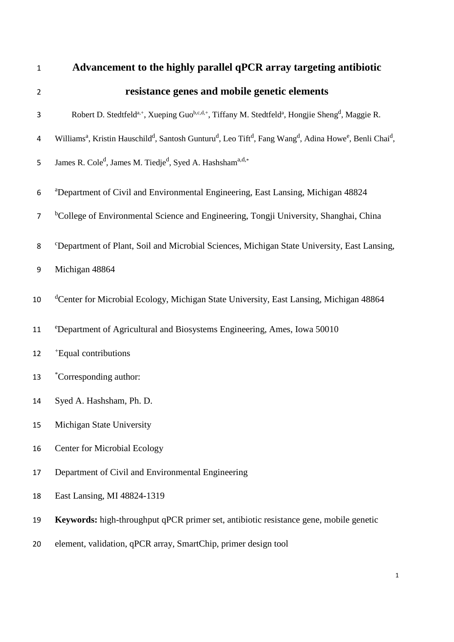| $\mathbf{1}$   | Advancement to the highly parallel qPCR array targeting antibiotic                                                                                                                           |
|----------------|----------------------------------------------------------------------------------------------------------------------------------------------------------------------------------------------|
| $\overline{2}$ | resistance genes and mobile genetic elements                                                                                                                                                 |
| 3              | Robert D. Stedtfeld <sup>a,+</sup> , Xueping Guo <sup>b,c,d,+</sup> , Tiffany M. Stedtfeld <sup>a</sup> , Hongjie Sheng <sup>d</sup> , Maggie R.                                             |
| 4              | Williams <sup>a</sup> , Kristin Hauschild <sup>d</sup> , Santosh Gunturu <sup>d</sup> , Leo Tift <sup>d</sup> , Fang Wang <sup>d</sup> , Adina Howe <sup>e</sup> , Benli Chai <sup>d</sup> , |
| 5              | James R. Cole <sup>d</sup> , James M. Tiedje <sup>d</sup> , Syed A. Hashsham <sup>a,d,*</sup>                                                                                                |
| 6              | <sup>a</sup> Department of Civil and Environmental Engineering, East Lansing, Michigan 48824                                                                                                 |
| $\overline{7}$ | <sup>b</sup> College of Environmental Science and Engineering, Tongji University, Shanghai, China                                                                                            |
| 8              | <sup>c</sup> Department of Plant, Soil and Microbial Sciences, Michigan State University, East Lansing,                                                                                      |
| 9              | Michigan 48864                                                                                                                                                                               |
| 10             | <sup>d</sup> Center for Microbial Ecology, Michigan State University, East Lansing, Michigan 48864                                                                                           |
| 11             | <sup>e</sup> Department of Agricultural and Biosystems Engineering, Ames, Iowa 50010                                                                                                         |
| 12             | *Equal contributions                                                                                                                                                                         |
| 13             | *Corresponding author:                                                                                                                                                                       |
| 14             | Syed A. Hashsham, Ph. D.                                                                                                                                                                     |
| 15             | Michigan State University                                                                                                                                                                    |
| 16             | <b>Center for Microbial Ecology</b>                                                                                                                                                          |
| 17             | Department of Civil and Environmental Engineering                                                                                                                                            |
| 18             | East Lansing, MI 48824-1319                                                                                                                                                                  |
| 19             | Keywords: high-throughput qPCR primer set, antibiotic resistance gene, mobile genetic                                                                                                        |
| 20             | element, validation, qPCR array, SmartChip, primer design tool                                                                                                                               |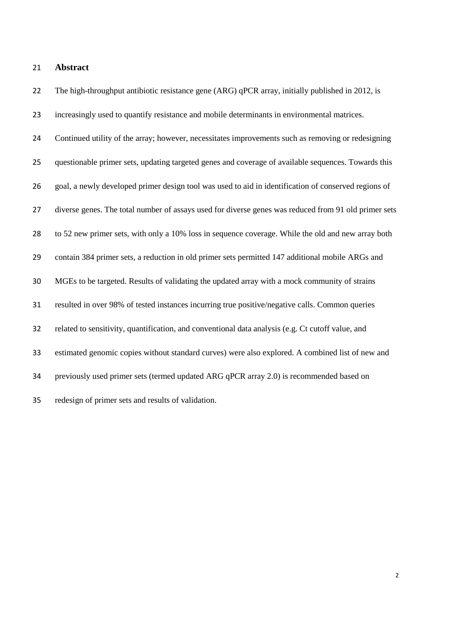## **Abstract**

22 The high-throughput antibiotic resistance gene (ARG) qPCR array, initially published in 2012, is increasingly used to quantify resistance and mobile determinants in environmental matrices. Continued utility of the array; however, necessitates improvements such as removing or redesigning questionable primer sets, updating targeted genes and coverage of available sequences. Towards this goal, a newly developed primer design tool was used to aid in identification of conserved regions of diverse genes. The total number of assays used for diverse genes was reduced from 91 old primer sets to 52 new primer sets, with only a 10% loss in sequence coverage. While the old and new array both contain 384 primer sets, a reduction in old primer sets permitted 147 additional mobile ARGs and MGEs to be targeted. Results of validating the updated array with a mock community of strains resulted in over 98% of tested instances incurring true positive/negative calls. Common queries related to sensitivity, quantification, and conventional data analysis (e.g. Ct cutoff value, and estimated genomic copies without standard curves) were also explored. A combined list of new and previously used primer sets (termed updated ARG qPCR array 2.0) is recommended based on redesign of primer sets and results of validation.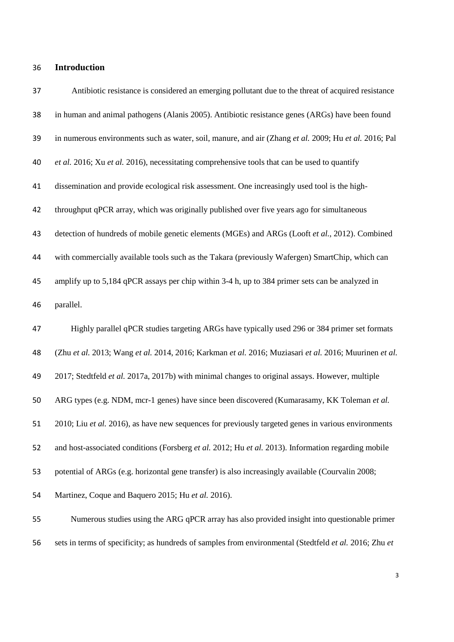# **Introduction**

| 37 | Antibiotic resistance is considered an emerging pollutant due to the threat of acquired resistance     |
|----|--------------------------------------------------------------------------------------------------------|
| 38 | in human and animal pathogens (Alanis 2005). Antibiotic resistance genes (ARGs) have been found        |
| 39 | in numerous environments such as water, soil, manure, and air (Zhang et al. 2009; Hu et al. 2016; Pal  |
| 40 | et al. 2016; Xu et al. 2016), necessitating comprehensive tools that can be used to quantify           |
| 41 | dissemination and provide ecological risk assessment. One increasingly used tool is the high-          |
| 42 | throughput qPCR array, which was originally published over five years ago for simultaneous             |
| 43 | detection of hundreds of mobile genetic elements (MGEs) and ARGs (Looft et al., 2012). Combined        |
| 44 | with commercially available tools such as the Takara (previously Wafergen) SmartChip, which can        |
| 45 | amplify up to 5,184 qPCR assays per chip within 3-4 h, up to 384 primer sets can be analyzed in        |
| 46 | parallel.                                                                                              |
| 47 | Highly parallel qPCR studies targeting ARGs have typically used 296 or 384 primer set formats          |
| 48 | (Zhu et al. 2013; Wang et al. 2014, 2016; Karkman et al. 2016; Muziasari et al. 2016; Muurinen et al.  |
| 49 | 2017; Stedtfeld et al. 2017a, 2017b) with minimal changes to original assays. However, multiple        |
| 50 | ARG types (e.g. NDM, mcr-1 genes) have since been discovered (Kumarasamy, KK Toleman et al.            |
| 51 | 2010; Liu et al. 2016), as have new sequences for previously targeted genes in various environments    |
| 52 | and host-associated conditions (Forsberg et al. 2012; Hu et al. 2013). Information regarding mobile    |
| 53 | potential of ARGs (e.g. horizontal gene transfer) is also increasingly available (Courvalin 2008;      |
| 54 | Martinez, Coque and Baquero 2015; Hu et al. 2016).                                                     |
| 55 | Numerous studies using the ARG qPCR array has also provided insight into questionable primer           |
| 56 | sets in terms of specificity; as hundreds of samples from environmental (Stedtfeld et al. 2016; Zhu et |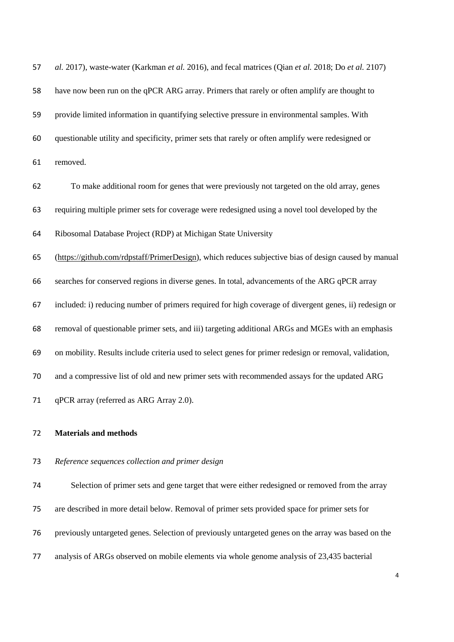| 57 | al. 2017), waste-water (Karkman et al. 2016), and fecal matrices (Qian et al. 2018; Do et al. 2107)    |
|----|--------------------------------------------------------------------------------------------------------|
| 58 | have now been run on the qPCR ARG array. Primers that rarely or often amplify are thought to           |
| 59 | provide limited information in quantifying selective pressure in environmental samples. With           |
| 60 | questionable utility and specificity, primer sets that rarely or often amplify were redesigned or      |
| 61 | removed.                                                                                               |
| 62 | To make additional room for genes that were previously not targeted on the old array, genes            |
| 63 | requiring multiple primer sets for coverage were redesigned using a novel tool developed by the        |
| 64 | Ribosomal Database Project (RDP) at Michigan State University                                          |
| 65 | (https://github.com/rdpstaff/PrimerDesign), which reduces subjective bias of design caused by manual   |
| 66 | searches for conserved regions in diverse genes. In total, advancements of the ARG qPCR array          |
| 67 | included: i) reducing number of primers required for high coverage of divergent genes, ii) redesign or |
| 68 | removal of questionable primer sets, and iii) targeting additional ARGs and MGEs with an emphasis      |
| 69 | on mobility. Results include criteria used to select genes for primer redesign or removal, validation, |
| 70 | and a compressive list of old and new primer sets with recommended assays for the updated ARG          |
| 71 | qPCR array (referred as ARG Array 2.0).                                                                |

## **Materials and methods**

## *Reference sequences collection and primer design*

 Selection of primer sets and gene target that were either redesigned or removed from the array are described in more detail below. Removal of primer sets provided space for primer sets for previously untargeted genes. Selection of previously untargeted genes on the array was based on the analysis of ARGs observed on mobile elements via whole genome analysis of 23,435 bacterial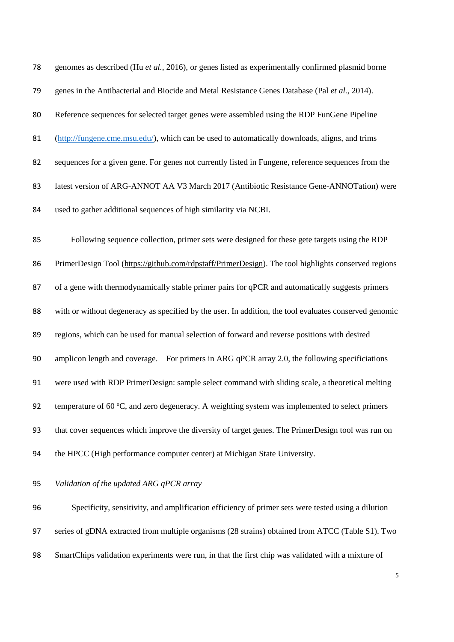| 78 | genomes as described (Hu et al., 2016), or genes listed as experimentally confirmed plasmid borne      |
|----|--------------------------------------------------------------------------------------------------------|
| 79 | genes in the Antibacterial and Biocide and Metal Resistance Genes Database (Pal et al., 2014).         |
| 80 | Reference sequences for selected target genes were assembled using the RDP FunGene Pipeline            |
| 81 | (http://fungene.cme.msu.edu/), which can be used to automatically downloads, aligns, and trims         |
| 82 | sequences for a given gene. For genes not currently listed in Fungene, reference sequences from the    |
| 83 | latest version of ARG-ANNOT AA V3 March 2017 (Antibiotic Resistance Gene-ANNOTation) were              |
| 84 | used to gather additional sequences of high similarity via NCBI.                                       |
| 85 | Following sequence collection, primer sets were designed for these gete targets using the RDP          |
| 86 | PrimerDesign Tool (https://github.com/rdpstaff/PrimerDesign). The tool highlights conserved regions    |
| 87 | of a gene with thermodynamically stable primer pairs for qPCR and automatically suggests primers       |
| 88 | with or without degeneracy as specified by the user. In addition, the tool evaluates conserved genomic |
| 89 | regions, which can be used for manual selection of forward and reverse positions with desired          |
| 90 | amplicon length and coverage. For primers in ARG qPCR array 2.0, the following specificiations         |
| 91 | were used with RDP PrimerDesign: sample select command with sliding scale, a theoretical melting       |
| 92 | temperature of 60 °C, and zero degeneracy. A weighting system was implemented to select primers        |
| 93 | that cover sequences which improve the diversity of target genes. The PrimerDesign tool was run on     |
| 94 | the HPCC (High performance computer center) at Michigan State University.                              |

*Validation of the updated ARG qPCR array*

 Specificity, sensitivity, and amplification efficiency of primer sets were tested using a dilution series of gDNA extracted from multiple organisms (28 strains) obtained from ATCC (Table S1). Two SmartChips validation experiments were run, in that the first chip was validated with a mixture of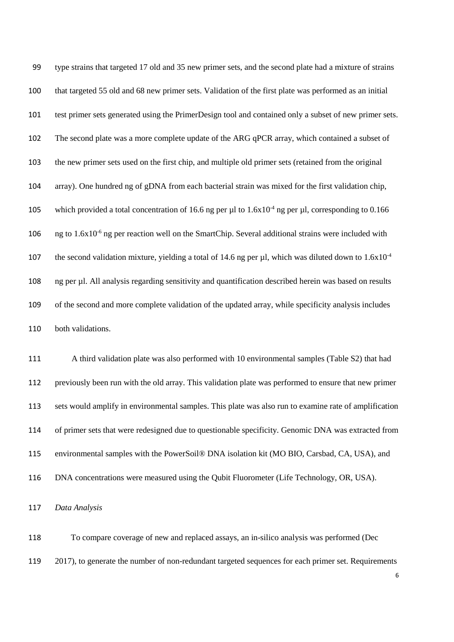type strains that targeted 17 old and 35 new primer sets, and the second plate had a mixture of strains that targeted 55 old and 68 new primer sets. Validation of the first plate was performed as an initial test primer sets generated using the PrimerDesign tool and contained only a subset of new primer sets. The second plate was a more complete update of the ARG qPCR array, which contained a subset of the new primer sets used on the first chip, and multiple old primer sets (retained from the original array). One hundred ng of gDNA from each bacterial strain was mixed for the first validation chip, 105 which provided a total concentration of 16.6 ng per µl to  $1.6x10^{-4}$  ng per µl, corresponding to 0.166 106 ng to  $1.6x10^{-6}$  ng per reaction well on the SmartChip. Several additional strains were included with the second validation mixture, yielding a total of 14.6 ng per  $\mu$ l, which was diluted down to 1.6x10<sup>-4</sup> ng per µl. All analysis regarding sensitivity and quantification described herein was based on results of the second and more complete validation of the updated array, while specificity analysis includes both validations.

 A third validation plate was also performed with 10 environmental samples (Table S2) that had previously been run with the old array. This validation plate was performed to ensure that new primer sets would amplify in environmental samples. This plate was also run to examine rate of amplification of primer sets that were redesigned due to questionable specificity. Genomic DNA was extracted from environmental samples with the PowerSoil® DNA isolation kit (MO BIO, Carsbad, CA, USA), and DNA concentrations were measured using the Qubit Fluorometer (Life Technology, OR, USA).

*Data Analysis*

 To compare coverage of new and replaced assays, an in-silico analysis was performed (Dec 2017), to generate the number of non-redundant targeted sequences for each primer set. Requirements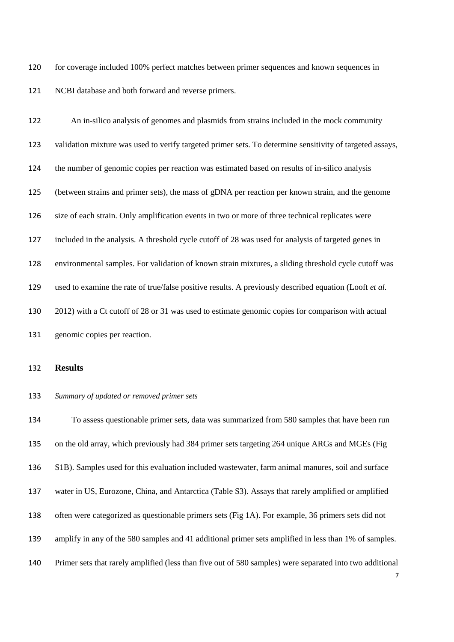for coverage included 100% perfect matches between primer sequences and known sequences in NCBI database and both forward and reverse primers.

 An in-silico analysis of genomes and plasmids from strains included in the mock community validation mixture was used to verify targeted primer sets. To determine sensitivity of targeted assays, the number of genomic copies per reaction was estimated based on results of in-silico analysis (between strains and primer sets), the mass of gDNA per reaction per known strain, and the genome size of each strain. Only amplification events in two or more of three technical replicates were included in the analysis. A threshold cycle cutoff of 28 was used for analysis of targeted genes in environmental samples. For validation of known strain mixtures, a sliding threshold cycle cutoff was used to examine the rate of true/false positive results. A previously described equation (Looft *et al.* 2012) with a Ct cutoff of 28 or 31 was used to estimate genomic copies for comparison with actual genomic copies per reaction.

#### **Results**

### *Summary of updated or removed primer sets*

 To assess questionable primer sets, data was summarized from 580 samples that have been run on the old array, which previously had 384 primer sets targeting 264 unique ARGs and MGEs (Fig S1B). Samples used for this evaluation included wastewater, farm animal manures, soil and surface water in US, Eurozone, China, and Antarctica (Table S3). Assays that rarely amplified or amplified often were categorized as questionable primers sets (Fig 1A). For example, 36 primers sets did not amplify in any of the 580 samples and 41 additional primer sets amplified in less than 1% of samples. Primer sets that rarely amplified (less than five out of 580 samples) were separated into two additional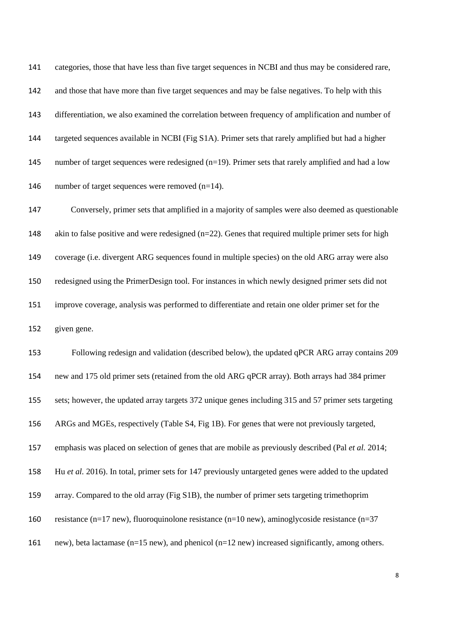categories, those that have less than five target sequences in NCBI and thus may be considered rare, and those that have more than five target sequences and may be false negatives. To help with this differentiation, we also examined the correlation between frequency of amplification and number of targeted sequences available in NCBI (Fig S1A). Primer sets that rarely amplified but had a higher 145 number of target sequences were redesigned (n=19). Primer sets that rarely amplified and had a low 146 number of target sequences were removed (n=14).

 Conversely, primer sets that amplified in a majority of samples were also deemed as questionable 148 akin to false positive and were redesigned (n=22). Genes that required multiple primer sets for high coverage (i.e. divergent ARG sequences found in multiple species) on the old ARG array were also redesigned using the PrimerDesign tool. For instances in which newly designed primer sets did not improve coverage, analysis was performed to differentiate and retain one older primer set for the given gene.

 Following redesign and validation (described below), the updated qPCR ARG array contains 209 new and 175 old primer sets (retained from the old ARG qPCR array). Both arrays had 384 primer sets; however, the updated array targets 372 unique genes including 315 and 57 primer sets targeting ARGs and MGEs, respectively (Table S4, Fig 1B). For genes that were not previously targeted, emphasis was placed on selection of genes that are mobile as previously described (Pal *et al.* 2014; Hu *et al.* 2016). In total, primer sets for 147 previously untargeted genes were added to the updated array. Compared to the old array (Fig S1B), the number of primer sets targeting trimethoprim resistance (n=17 new), fluoroquinolone resistance (n=10 new), aminoglycoside resistance (n=37 new), beta lactamase (n=15 new), and phenicol (n=12 new) increased significantly, among others.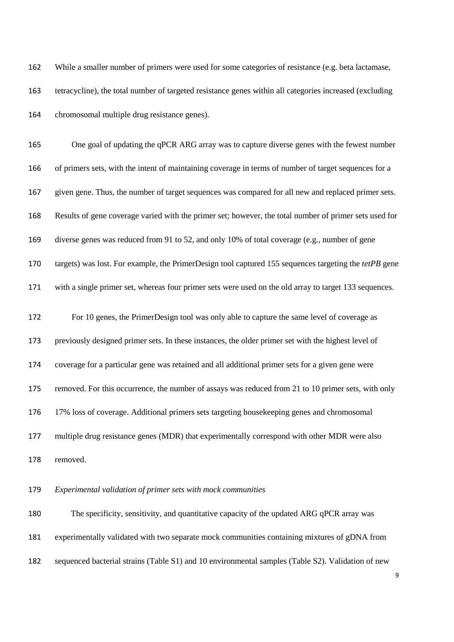While a smaller number of primers were used for some categories of resistance (e.g. beta lactamase, tetracycline), the total number of targeted resistance genes within all categories increased (excluding chromosomal multiple drug resistance genes).

 One goal of updating the qPCR ARG array was to capture diverse genes with the fewest number of primers sets, with the intent of maintaining coverage in terms of number of target sequences for a given gene. Thus, the number of target sequences was compared for all new and replaced primer sets. Results of gene coverage varied with the primer set; however, the total number of primer sets used for diverse genes was reduced from 91 to 52, and only 10% of total coverage (e.g., number of gene targets) was lost. For example, the PrimerDesign tool captured 155 sequences targeting the *tetPB* gene with a single primer set, whereas four primer sets were used on the old array to target 133 sequences. For 10 genes, the PrimerDesign tool was only able to capture the same level of coverage as previously designed primer sets. In these instances, the older primer set with the highest level of coverage for a particular gene was retained and all additional primer sets for a given gene were removed. For this occurrence, the number of assays was reduced from 21 to 10 primer sets, with only 17% loss of coverage. Additional primers sets targeting housekeeping genes and chromosomal multiple drug resistance genes (MDR) that experimentally correspond with other MDR were also removed.

## *Experimental validation of primer sets with mock communities*

 The specificity, sensitivity, and quantitative capacity of the updated ARG qPCR array was experimentally validated with two separate mock communities containing mixtures of gDNA from sequenced bacterial strains (Table S1) and 10 environmental samples (Table S2). Validation of new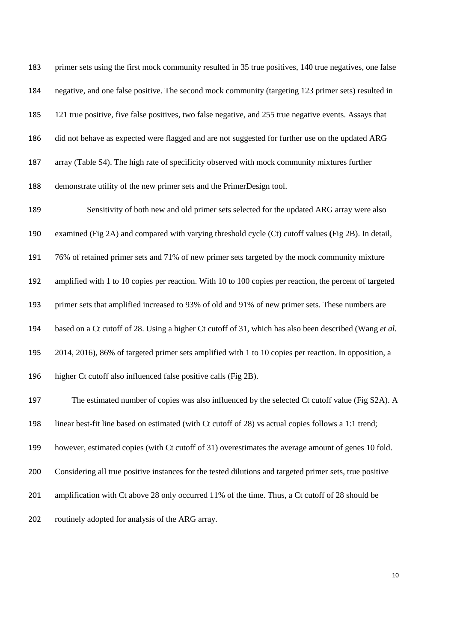primer sets using the first mock community resulted in 35 true positives, 140 true negatives, one false negative, and one false positive. The second mock community (targeting 123 primer sets) resulted in 121 true positive, five false positives, two false negative, and 255 true negative events. Assays that did not behave as expected were flagged and are not suggested for further use on the updated ARG array (Table S4). The high rate of specificity observed with mock community mixtures further demonstrate utility of the new primer sets and the PrimerDesign tool.

 Sensitivity of both new and old primer sets selected for the updated ARG array were also examined (Fig 2A) and compared with varying threshold cycle (Ct) cutoff values **(**Fig 2B). In detail, 76% of retained primer sets and 71% of new primer sets targeted by the mock community mixture amplified with 1 to 10 copies per reaction. With 10 to 100 copies per reaction, the percent of targeted primer sets that amplified increased to 93% of old and 91% of new primer sets. These numbers are based on a Ct cutoff of 28. Using a higher Ct cutoff of 31, which has also been described (Wang *et al.* 2014, 2016), 86% of targeted primer sets amplified with 1 to 10 copies per reaction. In opposition, a higher Ct cutoff also influenced false positive calls (Fig 2B). 197 The estimated number of copies was also influenced by the selected Ct cutoff value (Fig S2A). A linear best-fit line based on estimated (with Ct cutoff of 28) vs actual copies follows a 1:1 trend;

however, estimated copies (with Ct cutoff of 31) overestimates the average amount of genes 10 fold.

Considering all true positive instances for the tested dilutions and targeted primer sets, true positive

201 amplification with Ct above 28 only occurred 11% of the time. Thus, a Ct cutoff of 28 should be

routinely adopted for analysis of the ARG array.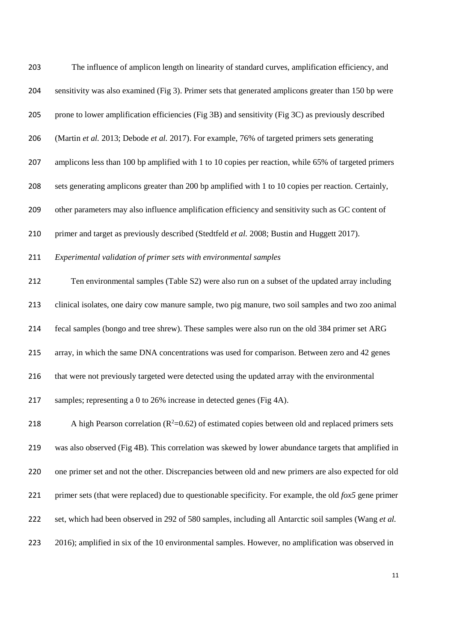| 203 | The influence of amplicon length on linearity of standard curves, amplification efficiency, and                 |
|-----|-----------------------------------------------------------------------------------------------------------------|
| 204 | sensitivity was also examined (Fig 3). Primer sets that generated amplicons greater than 150 bp were            |
| 205 | prone to lower amplification efficiencies (Fig 3B) and sensitivity (Fig 3C) as previously described             |
| 206 | (Martin et al. 2013; Debode et al. 2017). For example, 76% of targeted primers sets generating                  |
| 207 | amplicons less than 100 bp amplified with 1 to 10 copies per reaction, while 65% of targeted primers            |
| 208 | sets generating amplicons greater than 200 bp amplified with 1 to 10 copies per reaction. Certainly,            |
| 209 | other parameters may also influence amplification efficiency and sensitivity such as GC content of              |
| 210 | primer and target as previously described (Stedtfeld et al. 2008; Bustin and Huggett 2017).                     |
| 211 | Experimental validation of primer sets with environmental samples                                               |
| 212 | Ten environmental samples (Table S2) were also run on a subset of the updated array including                   |
| 213 | clinical isolates, one dairy cow manure sample, two pig manure, two soil samples and two zoo animal             |
| 214 | fecal samples (bongo and tree shrew). These samples were also run on the old 384 primer set ARG                 |
| 215 | array, in which the same DNA concentrations was used for comparison. Between zero and 42 genes                  |
| 216 | that were not previously targeted were detected using the updated array with the environmental                  |
| 217 | samples; representing a 0 to 26% increase in detected genes (Fig 4A).                                           |
| 218 | A high Pearson correlation ( $R^2$ =0.62) of estimated copies between old and replaced primers sets             |
| 219 | was also observed (Fig 4B). This correlation was skewed by lower abundance targets that amplified in            |
| 220 | one primer set and not the other. Discrepancies between old and new primers are also expected for old           |
| 221 | primer sets (that were replaced) due to questionable specificity. For example, the old $f \circ x5$ gene primer |
| 222 | set, which had been observed in 292 of 580 samples, including all Antarctic soil samples (Wang et al.           |
| 223 | 2016); amplified in six of the 10 environmental samples. However, no amplification was observed in              |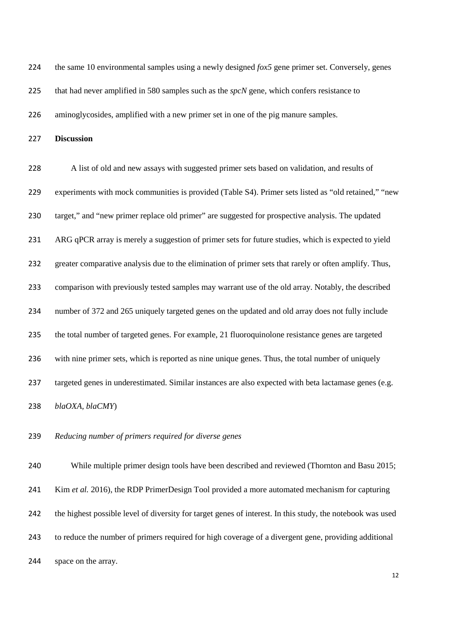the same 10 environmental samples using a newly designed *fox5* gene primer set. Conversely, genes

that had never amplified in 580 samples such as the *spcN* gene, which confers resistance to

aminoglycosides, amplified with a new primer set in one of the pig manure samples.

**Discussion**

 A list of old and new assays with suggested primer sets based on validation, and results of experiments with mock communities is provided (Table S4). Primer sets listed as "old retained," "new target," and "new primer replace old primer" are suggested for prospective analysis. The updated ARG qPCR array is merely a suggestion of primer sets for future studies, which is expected to yield 232 greater comparative analysis due to the elimination of primer sets that rarely or often amplify. Thus, comparison with previously tested samples may warrant use of the old array. Notably, the described number of 372 and 265 uniquely targeted genes on the updated and old array does not fully include the total number of targeted genes. For example, 21 fluoroquinolone resistance genes are targeted with nine primer sets, which is reported as nine unique genes. Thus, the total number of uniquely targeted genes in underestimated. Similar instances are also expected with beta lactamase genes (e.g. *blaOXA, blaCMY*)

*Reducing number of primers required for diverse genes* 

 While multiple primer design tools have been described and reviewed (Thornton and Basu 2015; Kim *et al.* 2016), the RDP PrimerDesign Tool provided a more automated mechanism for capturing the highest possible level of diversity for target genes of interest. In this study, the notebook was used to reduce the number of primers required for high coverage of a divergent gene, providing additional space on the array.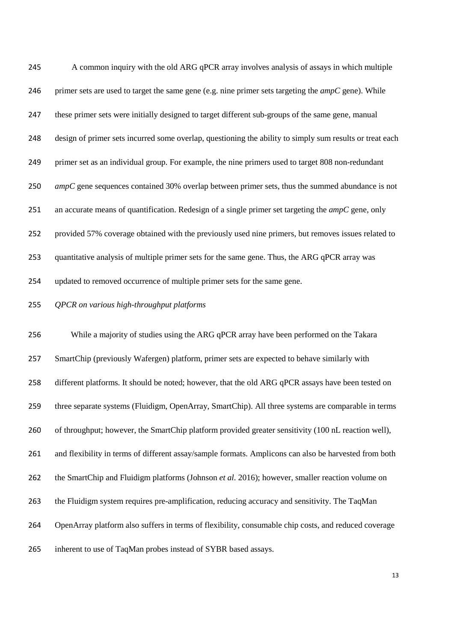A common inquiry with the old ARG qPCR array involves analysis of assays in which multiple primer sets are used to target the same gene (e.g. nine primer sets targeting the *ampC* gene). While these primer sets were initially designed to target different sub-groups of the same gene, manual design of primer sets incurred some overlap, questioning the ability to simply sum results or treat each primer set as an individual group. For example, the nine primers used to target 808 non-redundant *ampC* gene sequences contained 30% overlap between primer sets, thus the summed abundance is not an accurate means of quantification. Redesign of a single primer set targeting the *ampC* gene, only provided 57% coverage obtained with the previously used nine primers, but removes issues related to quantitative analysis of multiple primer sets for the same gene. Thus, the ARG qPCR array was updated to removed occurrence of multiple primer sets for the same gene.

## *QPCR on various high-throughput platforms*

 While a majority of studies using the ARG qPCR array have been performed on the Takara SmartChip (previously Wafergen) platform, primer sets are expected to behave similarly with different platforms. It should be noted; however, that the old ARG qPCR assays have been tested on three separate systems (Fluidigm, OpenArray, SmartChip). All three systems are comparable in terms of throughput; however, the SmartChip platform provided greater sensitivity (100 nL reaction well), and flexibility in terms of different assay/sample formats. Amplicons can also be harvested from both the SmartChip and Fluidigm platforms (Johnson *et al.* 2016); however, smaller reaction volume on the Fluidigm system requires pre-amplification, reducing accuracy and sensitivity. The TaqMan OpenArray platform also suffers in terms of flexibility, consumable chip costs, and reduced coverage inherent to use of TaqMan probes instead of SYBR based assays.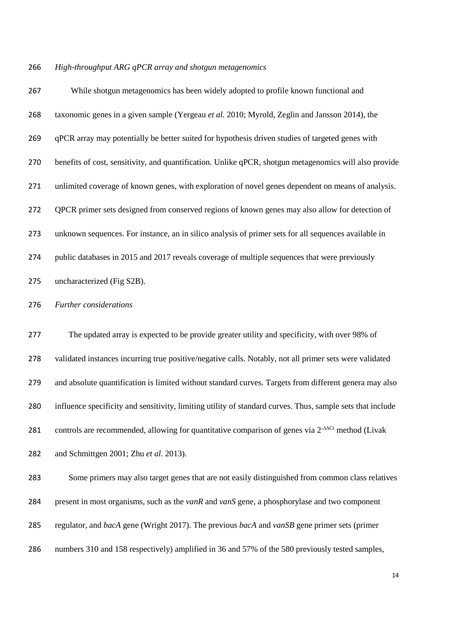#### *High-throughput ARG qPCR array and shotgun metagenomics*

 While shotgun metagenomics has been widely adopted to profile known functional and taxonomic genes in a given sample (Yergeau *et al.* 2010; Myrold, Zeglin and Jansson 2014), the qPCR array may potentially be better suited for hypothesis driven studies of targeted genes with benefits of cost, sensitivity, and quantification. Unlike qPCR, shotgun metagenomics will also provide unlimited coverage of known genes, with exploration of novel genes dependent on means of analysis. QPCR primer sets designed from conserved regions of known genes may also allow for detection of unknown sequences. For instance, an in silico analysis of primer sets for all sequences available in public databases in 2015 and 2017 reveals coverage of multiple sequences that were previously uncharacterized (Fig S2B).

*Further considerations*

 The updated array is expected to be provide greater utility and specificity, with over 98% of validated instances incurring true positive/negative calls. Notably, not all primer sets were validated and absolute quantification is limited without standard curves. Targets from different genera may also influence specificity and sensitivity, limiting utility of standard curves. Thus, sample sets that include 281 controls are recommended, allowing for quantitative comparison of genes via 2<sup>-∆∆Ct</sup> method (Livak and Schmittgen 2001; Zhu *et al.* 2013).

 Some primers may also target genes that are not easily distinguished from common class relatives present in most organisms, such as the *vanR* and *vanS* gene, a phosphorylase and two component regulator, and *bacA* gene (Wright 2017). The previous *bacA* and *vanSB* gene primer sets (primer numbers 310 and 158 respectively) amplified in 36 and 57% of the 580 previously tested samples,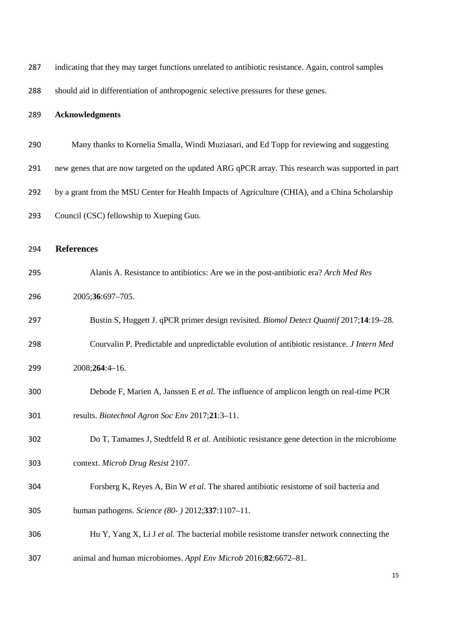| 287 | indicating that they may target functions unrelated to antibiotic resistance. Again, control samples |
|-----|------------------------------------------------------------------------------------------------------|
| 288 | should aid in differentiation of anthropogenic selective pressures for these genes.                  |
| 289 | <b>Acknowledgments</b>                                                                               |
| 290 | Many thanks to Kornelia Smalla, Windi Muziasari, and Ed Topp for reviewing and suggesting            |
| 291 | new genes that are now targeted on the updated ARG qPCR array. This research was supported in part   |
| 292 | by a grant from the MSU Center for Health Impacts of Agriculture (CHIA), and a China Scholarship     |
| 293 | Council (CSC) fellowship to Xueping Guo.                                                             |
| 294 | <b>References</b>                                                                                    |
| 295 | Alanis A. Resistance to antibiotics: Are we in the post-antibiotic era? Arch Med Res                 |
| 296 | 2005;36:697-705.                                                                                     |
| 297 | Bustin S, Huggett J. qPCR primer design revisited. Biomol Detect Quantif 2017;14:19-28.              |
| 298 | Courvalin P. Predictable and unpredictable evolution of antibiotic resistance. J Intern Med          |
| 299 | 2008;264:4-16.                                                                                       |
| 300 | Debode F, Marien A, Janssen E et al. The influence of amplicon length on real-time PCR               |
| 301 | results. Biotechnol Agron Soc Env 2017;21:3-11.                                                      |
| 302 | Do T, Tamames J, Stedtfeld R et al. Antibiotic resistance gene detection in the microbiome           |
| 303 | context. Microb Drug Resist 2107.                                                                    |
| 304 | Forsberg K, Reyes A, Bin W et al. The shared antibiotic resistome of soil bacteria and               |
| 305 | human pathogens. Science (80- ) 2012;337:1107-11.                                                    |
| 306 | Hu Y, Yang X, Li J et al. The bacterial mobile resistome transfer network connecting the             |
| 307 | animal and human microbiomes. Appl Env Microb 2016;82:6672-81.                                       |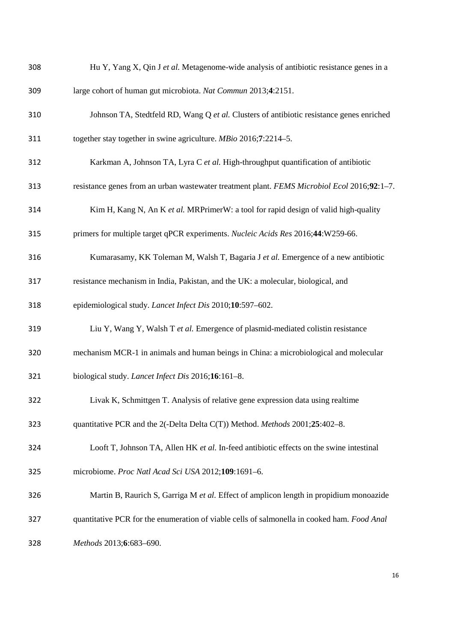| 308 | Hu Y, Yang X, Qin J et al. Metagenome-wide analysis of antibiotic resistance genes in a     |
|-----|---------------------------------------------------------------------------------------------|
| 309 | large cohort of human gut microbiota. Nat Commun 2013;4:2151.                               |
| 310 | Johnson TA, Stedtfeld RD, Wang Q et al. Clusters of antibiotic resistance genes enriched    |
| 311 | together stay together in swine agriculture. MBio 2016;7:2214-5.                            |
| 312 | Karkman A, Johnson TA, Lyra C et al. High-throughput quantification of antibiotic           |
| 313 | resistance genes from an urban wastewater treatment plant. FEMS Microbiol Ecol 2016;92:1-7. |
| 314 | Kim H, Kang N, An K et al. MRPrimerW: a tool for rapid design of valid high-quality         |
| 315 | primers for multiple target qPCR experiments. Nucleic Acids Res 2016;44:W259-66.            |
| 316 | Kumarasamy, KK Toleman M, Walsh T, Bagaria J et al. Emergence of a new antibiotic           |
| 317 | resistance mechanism in India, Pakistan, and the UK: a molecular, biological, and           |
| 318 | epidemiological study. Lancet Infect Dis 2010;10:597-602.                                   |
| 319 | Liu Y, Wang Y, Walsh T et al. Emergence of plasmid-mediated colistin resistance             |
| 320 | mechanism MCR-1 in animals and human beings in China: a microbiological and molecular       |
| 321 | biological study. Lancet Infect Dis 2016;16:161-8.                                          |
| 322 | Livak K, Schmittgen T. Analysis of relative gene expression data using realtime             |
| 323 | quantitative PCR and the 2(-Delta Delta C(T)) Method. Methods 2001;25:402-8.                |
| 324 | Looft T, Johnson TA, Allen HK et al. In-feed antibiotic effects on the swine intestinal     |
| 325 | microbiome. Proc Natl Acad Sci USA 2012;109:1691-6.                                         |
| 326 | Martin B, Raurich S, Garriga M et al. Effect of amplicon length in propidium monoazide      |
| 327 | quantitative PCR for the enumeration of viable cells of salmonella in cooked ham. Food Anal |
| 328 | Methods 2013;6:683-690.                                                                     |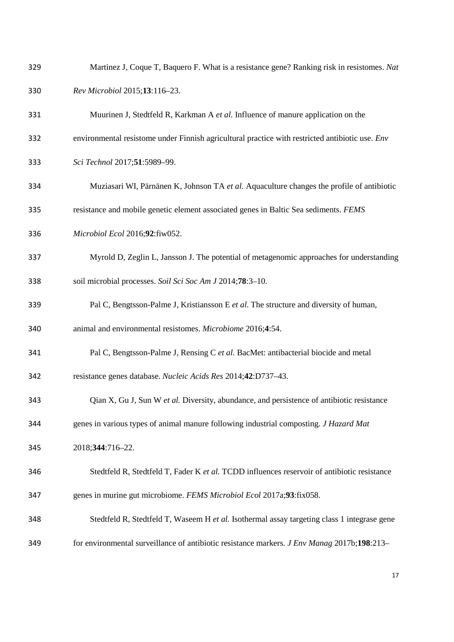| 329 | Martinez J, Coque T, Baquero F. What is a resistance gene? Ranking risk in resistomes. Nat      |
|-----|-------------------------------------------------------------------------------------------------|
| 330 | Rev Microbiol 2015;13:116-23.                                                                   |
| 331 | Muurinen J, Stedtfeld R, Karkman A et al. Influence of manure application on the                |
| 332 | environmental resistome under Finnish agricultural practice with restricted antibiotic use. Env |
| 333 | Sci Technol 2017;51:5989-99.                                                                    |
| 334 | Muziasari WI, Pärnänen K, Johnson TA et al. Aquaculture changes the profile of antibiotic       |
| 335 | resistance and mobile genetic element associated genes in Baltic Sea sediments. FEMS            |
| 336 | Microbiol Ecol 2016;92:fiw052.                                                                  |
| 337 | Myrold D, Zeglin L, Jansson J. The potential of metagenomic approaches for understanding        |
| 338 | soil microbial processes. Soil Sci Soc Am J 2014;78:3-10.                                       |
| 339 | Pal C, Bengtsson-Palme J, Kristiansson E et al. The structure and diversity of human,           |
| 340 | animal and environmental resistomes. Microbiome 2016;4:54.                                      |
| 341 | Pal C, Bengtsson-Palme J, Rensing C et al. BacMet: antibacterial biocide and metal              |
| 342 | resistance genes database. Nucleic Acids Res 2014;42:D737-43.                                   |
| 343 | Qian X, Gu J, Sun W et al. Diversity, abundance, and persistence of antibiotic resistance       |
| 344 | genes in various types of animal manure following industrial composting. J Hazard Mat           |
| 345 | 2018;344:716-22.                                                                                |
| 346 | Stedtfeld R, Stedtfeld T, Fader K et al. TCDD influences reservoir of antibiotic resistance     |
| 347 | genes in murine gut microbiome. FEMS Microbiol Ecol 2017a;93:fix058.                            |
| 348 | Stedtfeld R, Stedtfeld T, Waseem H et al. Isothermal assay targeting class 1 integrase gene     |
| 349 | for environmental surveillance of antibiotic resistance markers. J Env Manag 2017b;198:213-     |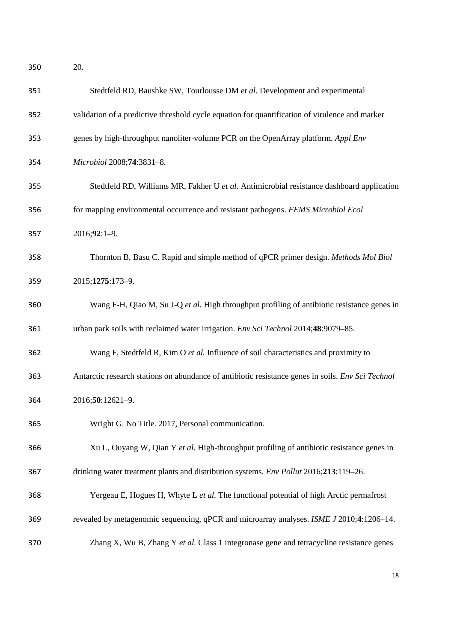20.

| 351 | Stedtfeld RD, Baushke SW, Tourlousse DM et al. Development and experimental                       |
|-----|---------------------------------------------------------------------------------------------------|
| 352 | validation of a predictive threshold cycle equation for quantification of virulence and marker    |
| 353 | genes by high-throughput nanoliter-volume PCR on the OpenArray platform. Appl Env                 |
| 354 | Microbiol 2008;74:3831-8.                                                                         |
| 355 | Stedtfeld RD, Williams MR, Fakher U et al. Antimicrobial resistance dashboard application         |
| 356 | for mapping environmental occurrence and resistant pathogens. FEMS Microbiol Ecol                 |
| 357 | $2016;92:1-9.$                                                                                    |
| 358 | Thornton B, Basu C. Rapid and simple method of qPCR primer design. Methods Mol Biol               |
| 359 | 2015;1275:173-9.                                                                                  |
| 360 | Wang F-H, Qiao M, Su J-Q et al. High throughput profiling of antibiotic resistance genes in       |
| 361 | urban park soils with reclaimed water irrigation. Env Sci Technol 2014;48:9079-85.                |
| 362 | Wang F, Stedtfeld R, Kim O et al. Influence of soil characteristics and proximity to              |
| 363 | Antarctic research stations on abundance of antibiotic resistance genes in soils. Env Sci Technol |
| 364 | 2016;50:12621-9.                                                                                  |
| 365 | Wright G. No Title. 2017, Personal communication.                                                 |
| 366 | Xu L, Ouyang W, Qian Y et al. High-throughput profiling of antibiotic resistance genes in         |
| 367 | drinking water treatment plants and distribution systems. Env Pollut 2016;213:119-26.             |
| 368 | Yergeau E, Hogues H, Whyte L et al. The functional potential of high Arctic permafrost            |
| 369 | revealed by metagenomic sequencing, qPCR and microarray analyses. ISME J 2010;4:1206-14.          |
| 370 | Zhang X, Wu B, Zhang Y et al. Class 1 integronase gene and tetracycline resistance genes          |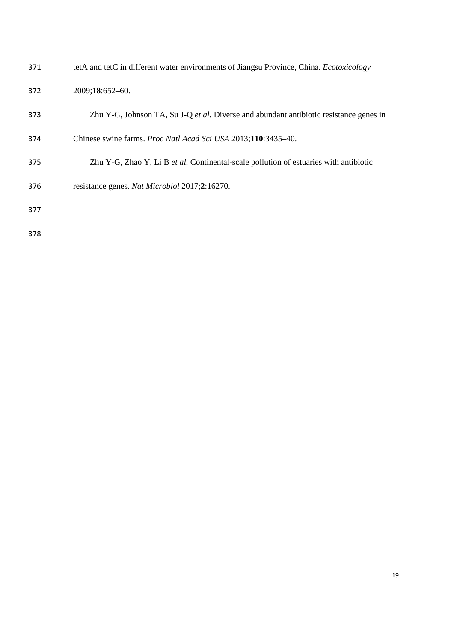| 371 | tetA and tetC in different water environments of Jiangsu Province, China. <i>Ecotoxicology</i> |
|-----|------------------------------------------------------------------------------------------------|
| 372 | 2009;18:652-60.                                                                                |
| 373 | Zhu Y-G, Johnson TA, Su J-Q et al. Diverse and abundant antibiotic resistance genes in         |
| 374 | Chinese swine farms. Proc Natl Acad Sci USA 2013;110:3435-40.                                  |
| 375 | Zhu Y-G, Zhao Y, Li B et al. Continental-scale pollution of estuaries with antibiotic          |
| 376 | resistance genes. Nat Microbiol 2017;2:16270.                                                  |
| 377 |                                                                                                |
| 378 |                                                                                                |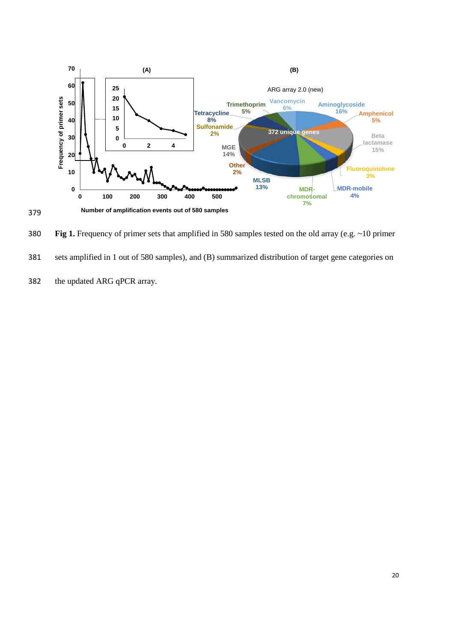

380 **Fig 1.** Frequency of primer sets that amplified in 580 samples tested on the old array (e.g. ~10 primer 381 sets amplified in 1 out of 580 samples), and (B) summarized distribution of target gene categories on 382 the updated ARG qPCR array.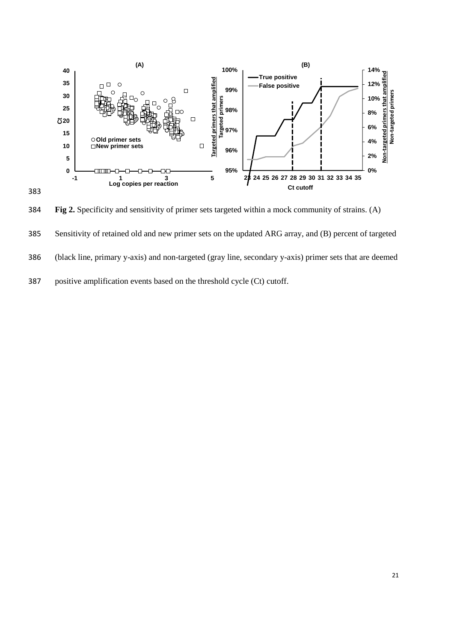

384 **Fig 2.** Specificity and sensitivity of primer sets targeted within a mock community of strains. (A) 385 Sensitivity of retained old and new primer sets on the updated ARG array, and (B) percent of targeted 386 (black line, primary y-axis) and non-targeted (gray line, secondary y-axis) primer sets that are deemed 387 positive amplification events based on the threshold cycle (Ct) cutoff.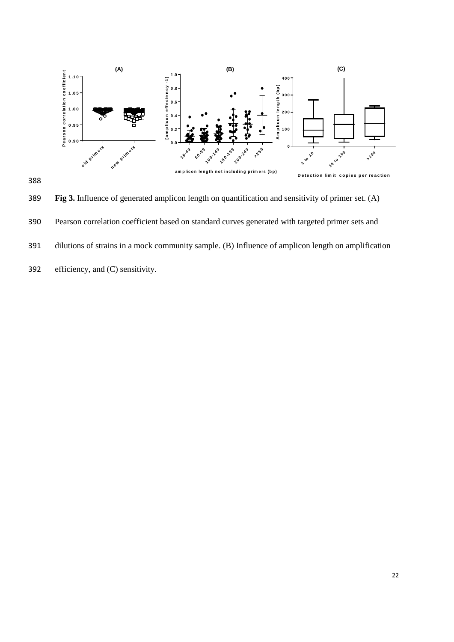

389 **Fig 3.** Influence of generated amplicon length on quantification and sensitivity of primer set. (A) 390 Pearson correlation coefficient based on standard curves generated with targeted primer sets and 391 dilutions of strains in a mock community sample. (B) Influence of amplicon length on amplification 392 efficiency, and (C) sensitivity.